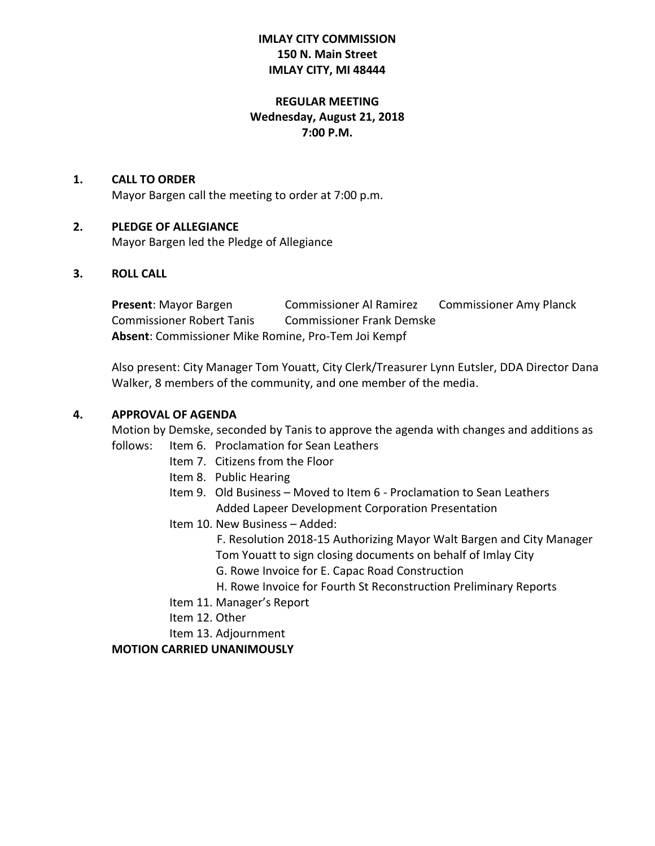# **IMLAY CITY COMMISSION 150 N. Main Street IMLAY CITY, MI 48444**

# **REGULAR MEETING Wednesday, August 21, 2018 7:00 P.M.**

### **1. CALL TO ORDER**

Mayor Bargen call the meeting to order at 7:00 p.m.

### **2. PLEDGE OF ALLEGIANCE**

Mayor Bargen led the Pledge of Allegiance

### **3. ROLL CALL**

**Present:** Mayor Bargen **Commissioner Al Ramirez Commissioner Amy Planck** Commissioner Robert Tanis Commissioner Frank Demske **Absent**: Commissioner Mike Romine, Pro-Tem Joi Kempf

Also present: City Manager Tom Youatt, City Clerk/Treasurer Lynn Eutsler, DDA Director Dana Walker, 8 members of the community, and one member of the media.

### **4. APPROVAL OF AGENDA**

Motion by Demske, seconded by Tanis to approve the agenda with changes and additions as

- follows: Item 6. Proclamation for Sean Leathers
	- Item 7. Citizens from the Floor
	- Item 8. Public Hearing
	- Item 9. Old Business Moved to Item 6 Proclamation to Sean Leathers Added Lapeer Development Corporation Presentation
	- Item 10. New Business Added:

 F. Resolution 2018-15 Authorizing Mayor Walt Bargen and City Manager Tom Youatt to sign closing documents on behalf of Imlay City

- G. Rowe Invoice for E. Capac Road Construction
- H. Rowe Invoice for Fourth St Reconstruction Preliminary Reports
- Item 11. Manager's Report
- Item 12. Other
- Item 13. Adjournment

### **MOTION CARRIED UNANIMOUSLY**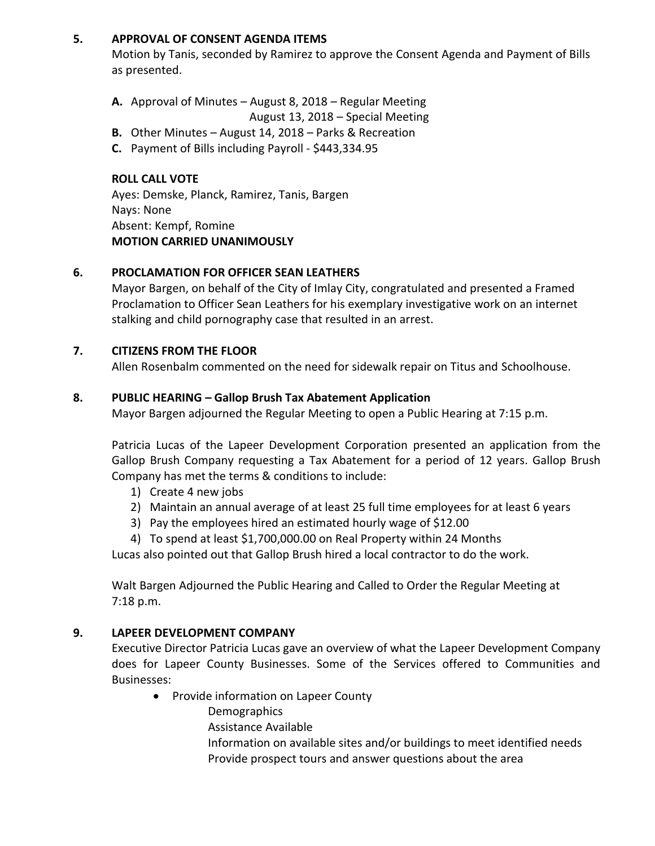### **5. APPROVAL OF CONSENT AGENDA ITEMS**

Motion by Tanis, seconded by Ramirez to approve the Consent Agenda and Payment of Bills as presented.

- **A.** Approval of Minutes August 8, 2018 Regular Meeting
	- August 13, 2018 Special Meeting
- **B.** Other Minutes August 14, 2018 Parks & Recreation
- **C.** Payment of Bills including Payroll \$443,334.95

# **ROLL CALL VOTE**

Ayes: Demske, Planck, Ramirez, Tanis, Bargen Nays: None Absent: Kempf, Romine **MOTION CARRIED UNANIMOUSLY**

# **6. PROCLAMATION FOR OFFICER SEAN LEATHERS**

Mayor Bargen, on behalf of the City of Imlay City, congratulated and presented a Framed Proclamation to Officer Sean Leathers for his exemplary investigative work on an internet stalking and child pornography case that resulted in an arrest.

### **7. CITIZENS FROM THE FLOOR**

Allen Rosenbalm commented on the need for sidewalk repair on Titus and Schoolhouse.

### **8. PUBLIC HEARING – Gallop Brush Tax Abatement Application**

Mayor Bargen adjourned the Regular Meeting to open a Public Hearing at 7:15 p.m.

Patricia Lucas of the Lapeer Development Corporation presented an application from the Gallop Brush Company requesting a Tax Abatement for a period of 12 years. Gallop Brush Company has met the terms & conditions to include:

- 1) Create 4 new jobs
- 2) Maintain an annual average of at least 25 full time employees for at least 6 years
- 3) Pay the employees hired an estimated hourly wage of \$12.00
- 4) To spend at least \$1,700,000.00 on Real Property within 24 Months

Lucas also pointed out that Gallop Brush hired a local contractor to do the work.

Walt Bargen Adjourned the Public Hearing and Called to Order the Regular Meeting at 7:18 p.m.

### **9. LAPEER DEVELOPMENT COMPANY**

Executive Director Patricia Lucas gave an overview of what the Lapeer Development Company does for Lapeer County Businesses. Some of the Services offered to Communities and Businesses:

- Provide information on Lapeer County
	- **Demographics**
	- Assistance Available

Information on available sites and/or buildings to meet identified needs Provide prospect tours and answer questions about the area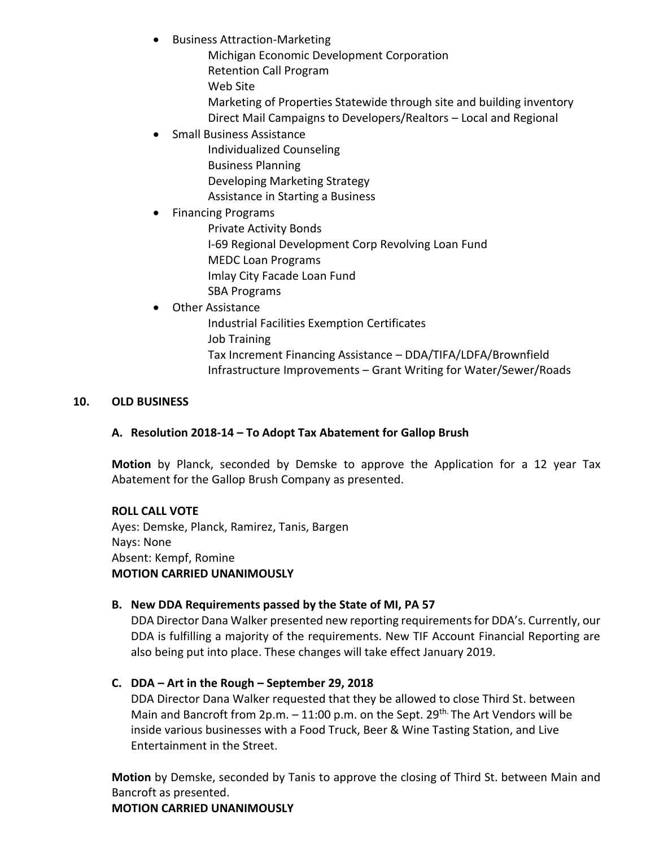- Business Attraction-Marketing
	- Michigan Economic Development Corporation
	- Retention Call Program
	- Web Site
	- Marketing of Properties Statewide through site and building inventory Direct Mail Campaigns to Developers/Realtors – Local and Regional
- Small Business Assistance
	- Individualized Counseling Business Planning Developing Marketing Strategy Assistance in Starting a Business

# • Financing Programs

Private Activity Bonds

- I-69 Regional Development Corp Revolving Loan Fund
- MEDC Loan Programs
- Imlay City Facade Loan Fund
- SBA Programs

# Other Assistance

Industrial Facilities Exemption Certificates Job Training

Tax Increment Financing Assistance – DDA/TIFA/LDFA/Brownfield Infrastructure Improvements – Grant Writing for Water/Sewer/Roads

# **10. OLD BUSINESS**

# **A. Resolution 2018-14 – To Adopt Tax Abatement for Gallop Brush**

**Motion** by Planck, seconded by Demske to approve the Application for a 12 year Tax Abatement for the Gallop Brush Company as presented.

# **ROLL CALL VOTE**

Ayes: Demske, Planck, Ramirez, Tanis, Bargen Nays: None Absent: Kempf, Romine **MOTION CARRIED UNANIMOUSLY**

# **B. New DDA Requirements passed by the State of MI, PA 57**

DDA Director Dana Walker presented new reporting requirements for DDA's. Currently, our DDA is fulfilling a majority of the requirements. New TIF Account Financial Reporting are also being put into place. These changes will take effect January 2019.

# **C. DDA – Art in the Rough – September 29, 2018**

DDA Director Dana Walker requested that they be allowed to close Third St. between Main and Bancroft from 2p.m.  $-11:00$  p.m. on the Sept. 29<sup>th.</sup> The Art Vendors will be inside various businesses with a Food Truck, Beer & Wine Tasting Station, and Live Entertainment in the Street.

**Motion** by Demske, seconded by Tanis to approve the closing of Third St. between Main and Bancroft as presented.

**MOTION CARRIED UNANIMOUSLY**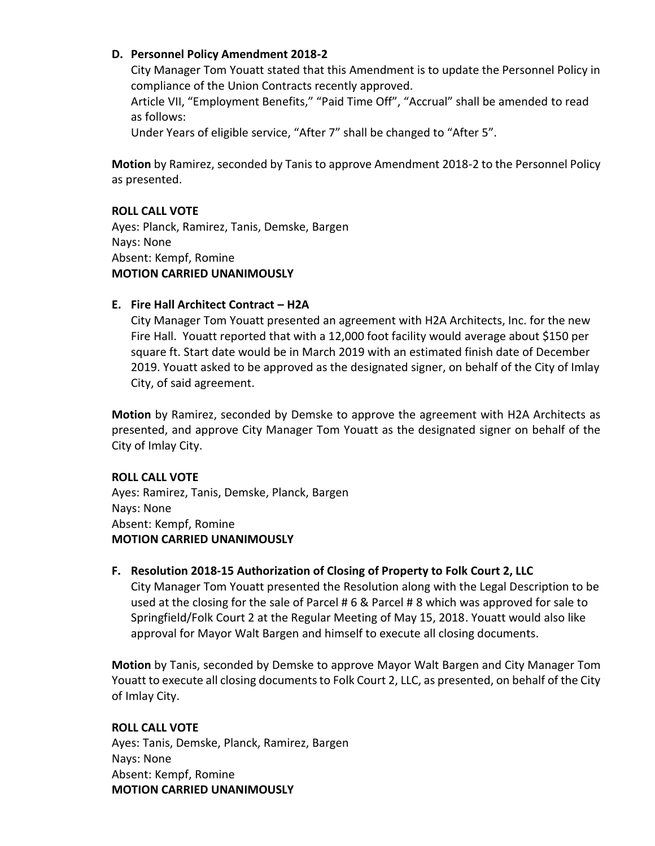### **D. Personnel Policy Amendment 2018-2**

City Manager Tom Youatt stated that this Amendment is to update the Personnel Policy in compliance of the Union Contracts recently approved.

Article VII, "Employment Benefits," "Paid Time Off", "Accrual" shall be amended to read as follows:

Under Years of eligible service, "After 7" shall be changed to "After 5".

**Motion** by Ramirez, seconded by Tanis to approve Amendment 2018-2 to the Personnel Policy as presented.

### **ROLL CALL VOTE**

Ayes: Planck, Ramirez, Tanis, Demske, Bargen Nays: None Absent: Kempf, Romine **MOTION CARRIED UNANIMOUSLY**

### **E. Fire Hall Architect Contract – H2A**

City Manager Tom Youatt presented an agreement with H2A Architects, Inc. for the new Fire Hall. Youatt reported that with a 12,000 foot facility would average about \$150 per square ft. Start date would be in March 2019 with an estimated finish date of December 2019. Youatt asked to be approved as the designated signer, on behalf of the City of Imlay City, of said agreement.

**Motion** by Ramirez, seconded by Demske to approve the agreement with H2A Architects as presented, and approve City Manager Tom Youatt as the designated signer on behalf of the City of Imlay City.

### **ROLL CALL VOTE**

Ayes: Ramirez, Tanis, Demske, Planck, Bargen Nays: None Absent: Kempf, Romine **MOTION CARRIED UNANIMOUSLY**

### **F. Resolution 2018-15 Authorization of Closing of Property to Folk Court 2, LLC**

City Manager Tom Youatt presented the Resolution along with the Legal Description to be used at the closing for the sale of Parcel # 6 & Parcel # 8 which was approved for sale to Springfield/Folk Court 2 at the Regular Meeting of May 15, 2018. Youatt would also like approval for Mayor Walt Bargen and himself to execute all closing documents.

**Motion** by Tanis, seconded by Demske to approve Mayor Walt Bargen and City Manager Tom Youatt to execute all closing documents to Folk Court 2, LLC, as presented, on behalf of the City of Imlay City.

### **ROLL CALL VOTE**

Ayes: Tanis, Demske, Planck, Ramirez, Bargen Nays: None Absent: Kempf, Romine **MOTION CARRIED UNANIMOUSLY**